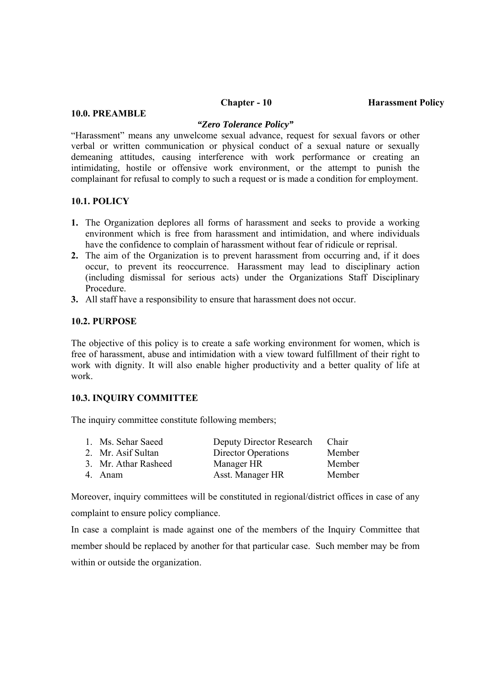## **10.0. PREAMBLE**

#### *"Zero Tolerance Policy"*

"Harassment" means any unwelcome sexual advance, request for sexual favors or other verbal or written communication or physical conduct of a sexual nature or sexually demeaning attitudes, causing interference with work performance or creating an intimidating, hostile or offensive work environment, or the attempt to punish the complainant for refusal to comply to such a request or is made a condition for employment.

### **10.1. POLICY**

- **1.** The Organization deplores all forms of harassment and seeks to provide a working environment which is free from harassment and intimidation, and where individuals have the confidence to complain of harassment without fear of ridicule or reprisal.
- **2.** The aim of the Organization is to prevent harassment from occurring and, if it does occur, to prevent its reoccurrence. Harassment may lead to disciplinary action (including dismissal for serious acts) under the Organizations Staff Disciplinary Procedure.
- **3.** All staff have a responsibility to ensure that harassment does not occur.

#### **10.2. PURPOSE**

The objective of this policy is to create a safe working environment for women, which is free of harassment, abuse and intimidation with a view toward fulfillment of their right to work with dignity. It will also enable higher productivity and a better quality of life at work.

## **10.3. INQUIRY COMMITTEE**

The inquiry committee constitute following members;

| 1. Ms. Sehar Saeed   | Deputy Director Research | Chair  |
|----------------------|--------------------------|--------|
| 2. Mr. Asif Sultan   | Director Operations      | Member |
| 3. Mr. Athar Rasheed | Manager HR               | Member |
| 4. Anam              | Asst. Manager HR         | Member |

Moreover, inquiry committees will be constituted in regional/district offices in case of any complaint to ensure policy compliance.

In case a complaint is made against one of the members of the Inquiry Committee that member should be replaced by another for that particular case. Such member may be from within or outside the organization.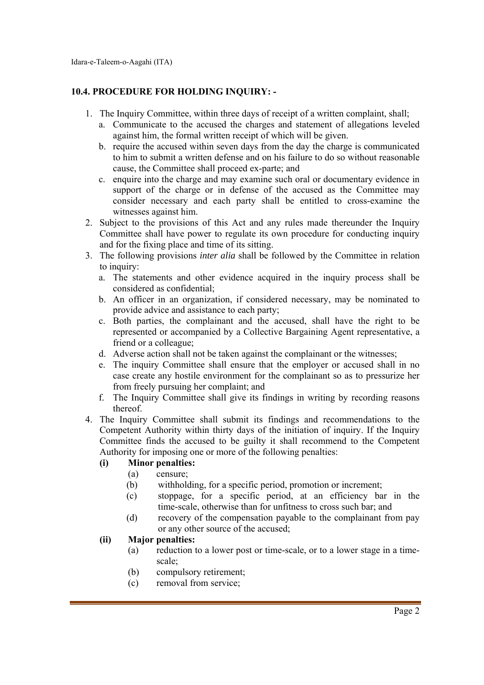# **10.4. PROCEDURE FOR HOLDING INQUIRY: -**

- 1. The Inquiry Committee, within three days of receipt of a written complaint, shall;
	- a. Communicate to the accused the charges and statement of allegations leveled against him, the formal written receipt of which will be given.
	- b. require the accused within seven days from the day the charge is communicated to him to submit a written defense and on his failure to do so without reasonable cause, the Committee shall proceed ex-parte; and
	- c. enquire into the charge and may examine such oral or documentary evidence in support of the charge or in defense of the accused as the Committee may consider necessary and each party shall be entitled to cross-examine the witnesses against him.
- 2. Subject to the provisions of this Act and any rules made thereunder the Inquiry Committee shall have power to regulate its own procedure for conducting inquiry and for the fixing place and time of its sitting.
- 3. The following provisions *inter alia* shall be followed by the Committee in relation to inquiry:
	- a. The statements and other evidence acquired in the inquiry process shall be considered as confidential;
	- b. An officer in an organization, if considered necessary, may be nominated to provide advice and assistance to each party;
	- c. Both parties, the complainant and the accused, shall have the right to be represented or accompanied by a Collective Bargaining Agent representative, a friend or a colleague;
	- d. Adverse action shall not be taken against the complainant or the witnesses;
	- e. The inquiry Committee shall ensure that the employer or accused shall in no case create any hostile environment for the complainant so as to pressurize her from freely pursuing her complaint; and
	- f. The Inquiry Committee shall give its findings in writing by recording reasons thereof.
- 4. The Inquiry Committee shall submit its findings and recommendations to the Competent Authority within thirty days of the initiation of inquiry. If the Inquiry Committee finds the accused to be guilty it shall recommend to the Competent Authority for imposing one or more of the following penalties:

# **(i) Minor penalties:**

- (a) censure;
- (b) withholding, for a specific period, promotion or increment;
- (c) stoppage, for a specific period, at an efficiency bar in the time-scale, otherwise than for unfitness to cross such bar; and
- (d) recovery of the compensation payable to the complainant from pay or any other source of the accused;

# **(ii) Major penalties:**

- (a) reduction to a lower post or time-scale, or to a lower stage in a timescale;
- (b) compulsory retirement;
- (c) removal from service;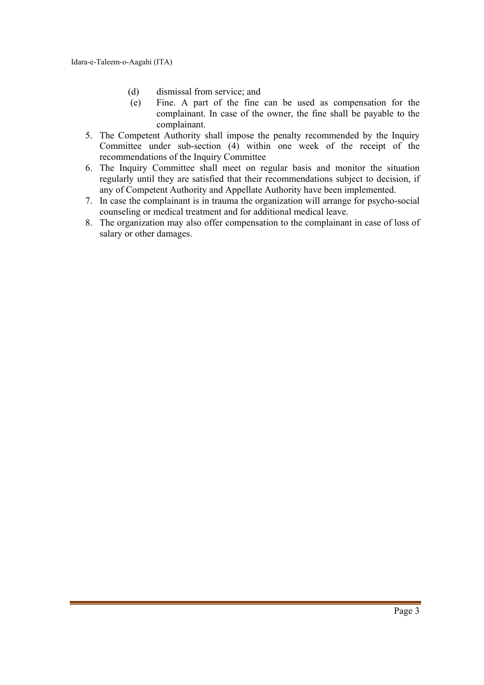- (d) dismissal from service; and
- (e) Fine. A part of the fine can be used as compensation for the complainant. In case of the owner, the fine shall be payable to the complainant.
- 5. The Competent Authority shall impose the penalty recommended by the Inquiry Committee under sub-section (4) within one week of the receipt of the recommendations of the Inquiry Committee
- 6. The Inquiry Committee shall meet on regular basis and monitor the situation regularly until they are satisfied that their recommendations subject to decision, if any of Competent Authority and Appellate Authority have been implemented.
- 7. In case the complainant is in trauma the organization will arrange for psycho-social counseling or medical treatment and for additional medical leave.
- 8. The organization may also offer compensation to the complainant in case of loss of salary or other damages.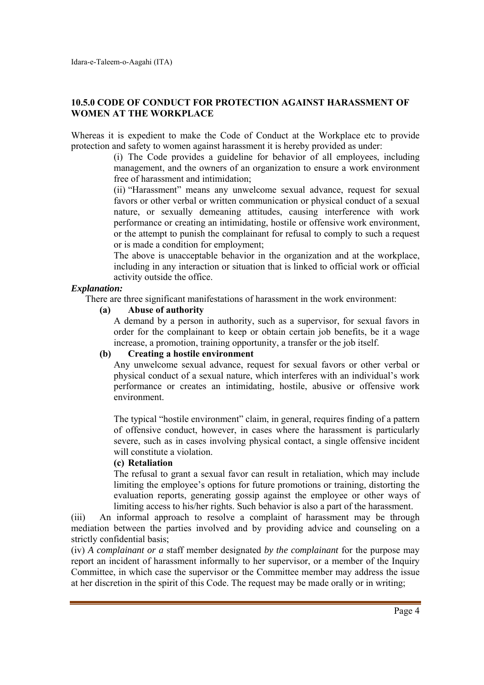# **10.5.0 CODE OF CONDUCT FOR PROTECTION AGAINST HARASSMENT OF WOMEN AT THE WORKPLACE**

Whereas it is expedient to make the Code of Conduct at the Workplace etc to provide protection and safety to women against harassment it is hereby provided as under:

> (i) The Code provides a guideline for behavior of all employees, including management, and the owners of an organization to ensure a work environment free of harassment and intimidation;

> (ii) "Harassment" means any unwelcome sexual advance, request for sexual favors or other verbal or written communication or physical conduct of a sexual nature, or sexually demeaning attitudes, causing interference with work performance or creating an intimidating, hostile or offensive work environment, or the attempt to punish the complainant for refusal to comply to such a request or is made a condition for employment;

> The above is unacceptable behavior in the organization and at the workplace, including in any interaction or situation that is linked to official work or official activity outside the office.

# *Explanation:*

There are three significant manifestations of harassment in the work environment:

**(a) Abuse of authority** 

A demand by a person in authority, such as a supervisor, for sexual favors in order for the complainant to keep or obtain certain job benefits, be it a wage increase, a promotion, training opportunity, a transfer or the job itself.

### **(b) Creating a hostile environment**

Any unwelcome sexual advance, request for sexual favors or other verbal or physical conduct of a sexual nature, which interferes with an individual's work performance or creates an intimidating, hostile, abusive or offensive work environment.

The typical "hostile environment" claim, in general, requires finding of a pattern of offensive conduct, however, in cases where the harassment is particularly severe, such as in cases involving physical contact, a single offensive incident will constitute a violation.

### **(c) Retaliation**

The refusal to grant a sexual favor can result in retaliation, which may include limiting the employee's options for future promotions or training, distorting the evaluation reports, generating gossip against the employee or other ways of limiting access to his/her rights. Such behavior is also a part of the harassment.

(iii) An informal approach to resolve a complaint of harassment may be through mediation between the parties involved and by providing advice and counseling on a strictly confidential basis;

(iv) *A complainant or a* staff member designated *by the complainant* for the purpose may report an incident of harassment informally to her supervisor, or a member of the Inquiry Committee, in which case the supervisor or the Committee member may address the issue at her discretion in the spirit of this Code. The request may be made orally or in writing;